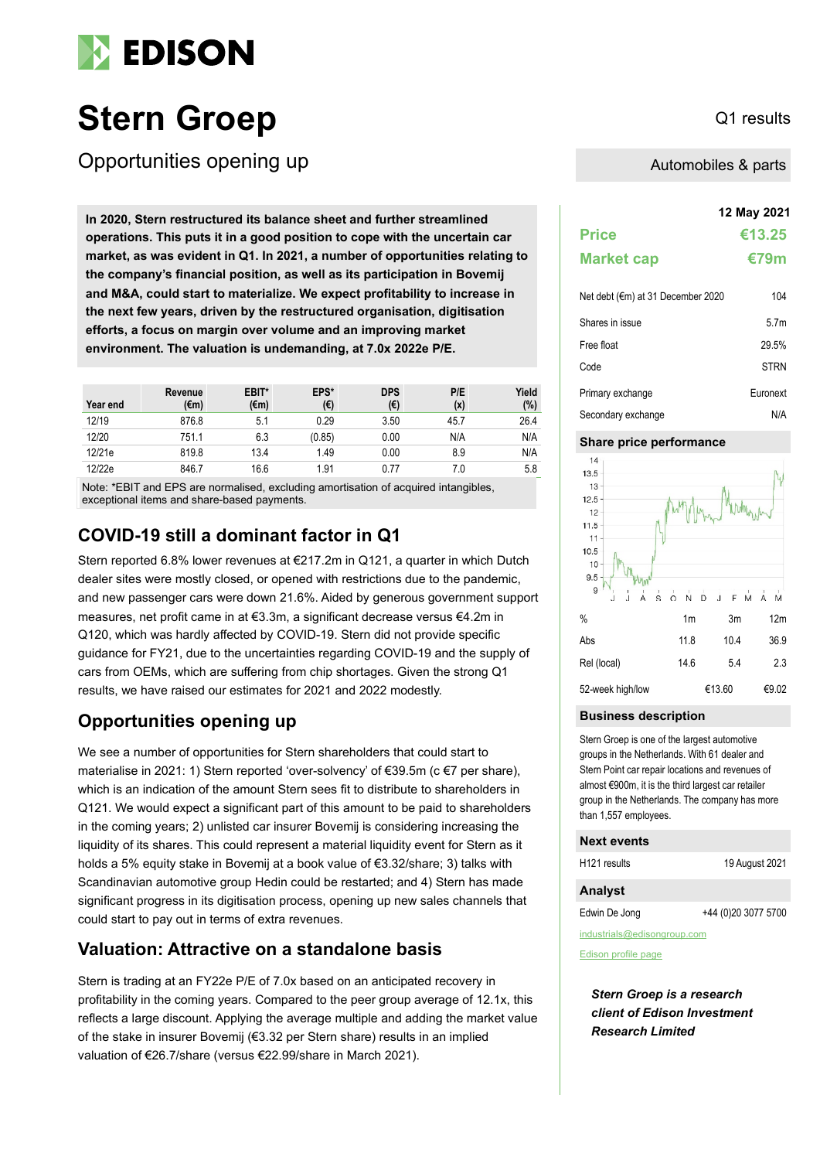

# Stern Groep Q1 results

Opportunities opening up

**12 May 2021 In 2020, Stern restructured its balance sheet and further streamlined operations. This puts it in a good position to cope with the uncertain car market, as was evident in Q1. In 2021, a number of opportunities relating to the company's financial position, as well as its participation in Bovemij and M&A, could start to materialize. We expect profitability to increase in the next few years, driven by the restructured organisation, digitisation efforts, a focus on margin over volume and an improving market environment. The valuation is undemanding, at 7.0x 2022e P/E.**

| Year end | Revenue<br>(€m) | EBIT*<br>(€m) | EPS*<br>(€) | <b>DPS</b><br>(€) | P/E<br>(x) | Yield<br>(%) |
|----------|-----------------|---------------|-------------|-------------------|------------|--------------|
| 12/19    | 876.8           | 5.1           | 0.29        | 3.50              | 45.7       | 26.4         |
| 12/20    | 751.1           | 6.3           | (0.85)      | 0.00              | N/A        | N/A          |
| 12/21e   | 819.8           | 13.4          | 1.49        | 0.00              | 8.9        | N/A          |
| 12/22e   | 846.7           | 16.6          | 1.91        | 0.77              | 7.0        | 5.8          |

Note: \*EBIT and EPS are normalised, excluding amortisation of acquired intangibles, exceptional items and share-based payments.

### **COVID-19 still a dominant factor in Q1**

Stern reported 6.8% lower revenues at  $\epsilon$ 217.2m in Q121, a quarter in which Dutch dealer sites were mostly closed, or opened with restrictions due to the pandemic, and new passenger cars were down 21.6%. Aided by generous government support measures, net profit came in at €3.3m, a significant decrease versus €4.2m in Q120, which was hardly affected by COVID-19. Stern did not provide specific guidance for FY21, due to the uncertainties regarding COVID-19 and the supply of cars from OEMs, which are suffering from chip shortages. Given the strong Q1 results, we have raised our estimates for 2021 and 2022 modestly.

### **Opportunities opening up**

We see a number of opportunities for Stern shareholders that could start to materialise in 2021: 1) Stern reported 'over-solvency' of €39.5m (c €7 per share), which is an indication of the amount Stern sees fit to distribute to shareholders in Q121. We would expect a significant part of this amount to be paid to shareholders in the coming years; 2) unlisted car insurer Bovemij is considering increasing the liquidity of its shares. This could represent a material liquidity event for Stern as it holds a 5% equity stake in Bovemij at a book value of €3.32/share; 3) talks with Scandinavian automotive group Hedin could be restarted; and 4) Stern has made significant progress in its digitisation process, opening up new sales channels that could start to pay out in terms of extra revenues.

### **Valuation: Attractive on a standalone basis**

Stern is trading at an FY22e P/E of 7.0x based on an anticipated recovery in profitability in the coming years. Compared to the peer group average of 12.1x, this reflects a large discount. Applying the average multiple and adding the market value of the stake in insurer Bovemij (€3.32 per Stern share) results in an implied valuation of €26.7/share (versus €22.99/share in March 2021).

Automobiles & parts

|                                   | 12 May 2021      |
|-----------------------------------|------------------|
| <b>Price</b>                      | €13.25           |
| <b>Market cap</b>                 | €79m             |
| Net debt (€m) at 31 December 2020 | 104              |
| Shares in issue                   | 5.7 <sub>m</sub> |
| Free float                        | 29.5%            |
| Code                              | <b>STRN</b>      |
| Primary exchange                  | Furonext         |
| Secondary exchange                | N/A              |

### **Share price performance**



### **Business description**

Stern Groep is one of the largest automotive groups in the Netherlands. With 61 dealer and Stern Point car repair locations and revenues of almost €900m, it is the third largest car retailer group in the Netherlands. The company has more than 1,557 employees.

### **Next events** H121 results 19 August 2021 **Analyst**

Edwin De Jong +44 (0)20 3077 5700

industrials@edisongroup.com

[Edison profile page](https://www.edisongroup.com/company/stern-groep/2947/)

*Stern Groep is a research client of Edison Investment Research Limited*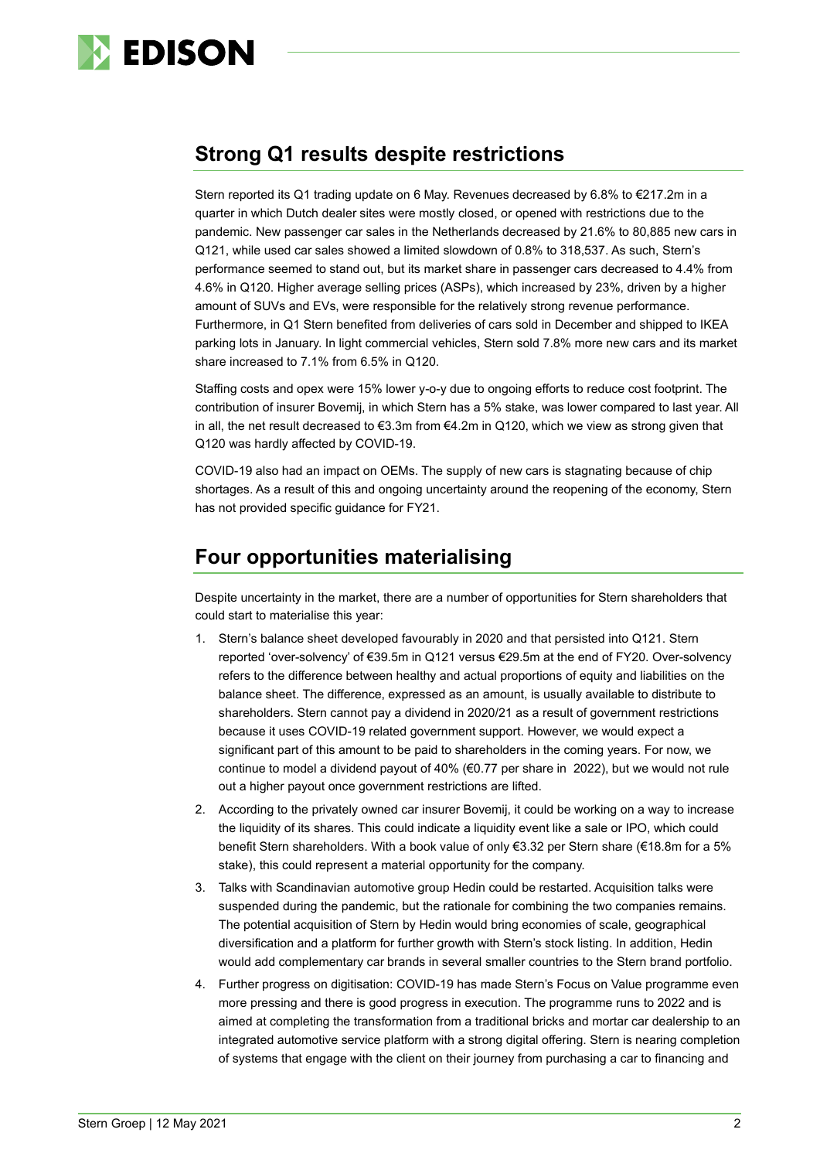

## **Strong Q1 results despite restrictions**

Stern reported its Q1 trading update on 6 May. Revenues decreased by 6.8% to €217.2m in a quarter in which Dutch dealer sites were mostly closed, or opened with restrictions due to the pandemic. New passenger car sales in the Netherlands decreased by 21.6% to 80,885 new cars in Q121, while used car sales showed a limited slowdown of 0.8% to 318,537. As such, Stern's performance seemed to stand out, but its market share in passenger cars decreased to 4.4% from 4.6% in Q120. Higher average selling prices (ASPs), which increased by 23%, driven by a higher amount of SUVs and EVs, were responsible for the relatively strong revenue performance. Furthermore, in Q1 Stern benefited from deliveries of cars sold in December and shipped to IKEA parking lots in January. In light commercial vehicles, Stern sold 7.8% more new cars and its market share increased to 7.1% from 6.5% in Q120.

Staffing costs and opex were 15% lower y-o-y due to ongoing efforts to reduce cost footprint. The contribution of insurer Bovemij, in which Stern has a 5% stake, was lower compared to last year. All in all, the net result decreased to €3.3m from €4.2m in Q120, which we view as strong given that Q120 was hardly affected by COVID-19.

COVID-19 also had an impact on OEMs. The supply of new cars is stagnating because of chip shortages. As a result of this and ongoing uncertainty around the reopening of the economy, Stern has not provided specific guidance for FY21.

# **Four opportunities materialising**

Despite uncertainty in the market, there are a number of opportunities for Stern shareholders that could start to materialise this year:

- 1. Stern's balance sheet developed favourably in 2020 and that persisted into Q121. Stern reported 'over-solvency' of €39.5m in Q121 versus €29.5m at the end of FY20. Over-solvency refers to the difference between healthy and actual proportions of equity and liabilities on the balance sheet. The difference, expressed as an amount, is usually available to distribute to shareholders. Stern cannot pay a dividend in 2020/21 as a result of government restrictions because it uses COVID-19 related government support. However, we would expect a significant part of this amount to be paid to shareholders in the coming years. For now, we continue to model a dividend payout of 40% (€0.77 per share in 2022), but we would not rule out a higher payout once government restrictions are lifted.
- 2. According to the privately owned car insurer Bovemij, it could be working on a way to increase the liquidity of its shares. This could indicate a liquidity event like a sale or IPO, which could benefit Stern shareholders. With a book value of only €3.32 per Stern share (€18.8m for a 5% stake), this could represent a material opportunity for the company.
- 3. Talks with Scandinavian automotive group Hedin could be restarted. Acquisition talks were suspended during the pandemic, but the rationale for combining the two companies remains. The potential acquisition of Stern by Hedin would bring economies of scale, geographical diversification and a platform for further growth with Stern's stock listing. In addition, Hedin would add complementary car brands in several smaller countries to the Stern brand portfolio.
- 4. Further progress on digitisation: COVID-19 has made Stern's Focus on Value programme even more pressing and there is good progress in execution. The programme runs to 2022 and is aimed at completing the transformation from a traditional bricks and mortar car dealership to an integrated automotive service platform with a strong digital offering. Stern is nearing completion of systems that engage with the client on their journey from purchasing a car to financing and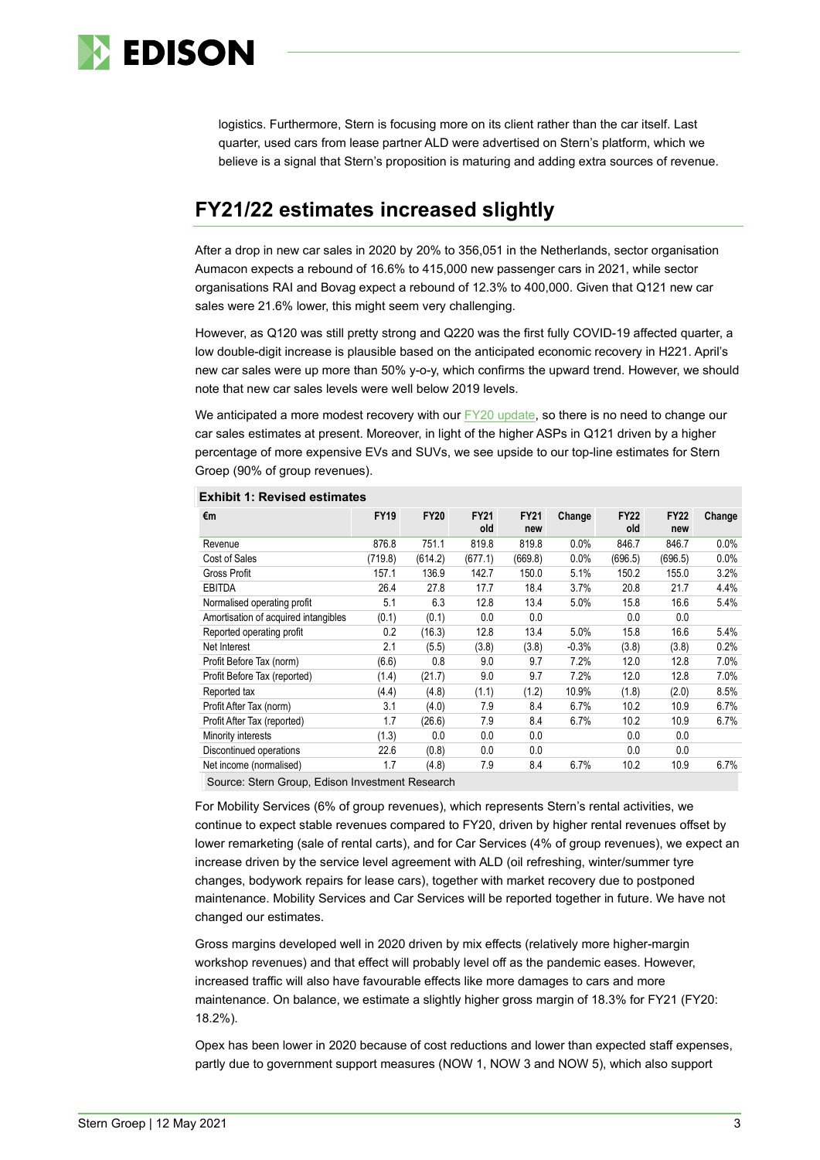

logistics. Furthermore, Stern is focusing more on its client rather than the car itself. Last quarter, used cars from lease partner ALD were advertised on Stern's platform, which we believe is a signal that Stern's proposition is maturing and adding extra sources of revenue.

# **FY21/22 estimates increased slightly**

After a drop in new car sales in 2020 by 20% to 356,051 in the Netherlands, sector organisation Aumacon expects a rebound of 16.6% to 415,000 new passenger cars in 2021, while sector organisations RAI and Bovag expect a rebound of 12.3% to 400,000. Given that Q121 new car sales were 21.6% lower, this might seem very challenging.

However, as Q120 was still pretty strong and Q220 was the first fully COVID-19 affected quarter, a low double-digit increase is plausible based on the anticipated economic recovery in H221. April's new car sales were up more than 50% y-o-y, which confirms the upward trend. However, we should note that new car sales levels were well below 2019 levels.

We anticipated a more modest recovery with our [FY20 update,](https://www.edisongroup.com/publication/riding-pandemic-waves/29176/) so there is no need to change our car sales estimates at present. Moreover, in light of the higher ASPs in Q121 driven by a higher percentage of more expensive EVs and SUVs, we see upside to our top-line estimates for Stern Groep (90% of group revenues).

| €m                                   | <b>FY19</b> | <b>FY20</b> | <b>FY21</b><br>old | <b>FY21</b><br>new | Change  | <b>FY22</b><br>old | <b>FY22</b><br>new | Change  |
|--------------------------------------|-------------|-------------|--------------------|--------------------|---------|--------------------|--------------------|---------|
| Revenue                              | 876.8       | 751.1       | 819.8              | 819.8              | 0.0%    | 846.7              | 846.7              | 0.0%    |
| Cost of Sales                        | (719.8)     | (614.2)     | (677.1)            | (669.8)            | 0.0%    | (696.5)            | (696.5)            | $0.0\%$ |
| Gross Profit                         | 157.1       | 136.9       | 142.7              | 150.0              | 5.1%    | 150.2              | 155.0              | 3.2%    |
| <b>EBITDA</b>                        | 26.4        | 27.8        | 17.7               | 18.4               | $3.7\%$ | 20.8               | 21.7               | 4.4%    |
| Normalised operating profit          | 5.1         | 6.3         | 12.8               | 13.4               | 5.0%    | 15.8               | 16.6               | 5.4%    |
| Amortisation of acquired intangibles | (0.1)       | (0.1)       | 0.0                | 0.0                |         | 0.0                | 0.0                |         |
| Reported operating profit            | 0.2         | (16.3)      | 12.8               | 13.4               | 5.0%    | 15.8               | 16.6               | 5.4%    |
| Net Interest                         | 2.1         | (5.5)       | (3.8)              | (3.8)              | $-0.3%$ | (3.8)              | (3.8)              | 0.2%    |
| Profit Before Tax (norm)             | (6.6)       | 0.8         | 9.0                | 9.7                | 7.2%    | 12.0               | 12.8               | 7.0%    |
| Profit Before Tax (reported)         | (1.4)       | (21.7)      | 9.0                | 9.7                | 7.2%    | 12.0               | 12.8               | 7.0%    |
| Reported tax                         | (4.4)       | (4.8)       | (1.1)              | (1.2)              | 10.9%   | (1.8)              | (2.0)              | 8.5%    |
| Profit After Tax (norm)              | 3.1         | (4.0)       | 7.9                | 8.4                | 6.7%    | 10.2               | 10.9               | 6.7%    |
| Profit After Tax (reported)          | 1.7         | (26.6)      | 7.9                | 8.4                | 6.7%    | 10.2               | 10.9               | 6.7%    |
| Minority interests                   | (1.3)       | 0.0         | 0.0                | 0.0                |         | 0.0                | 0.0                |         |
| Discontinued operations              | 22.6        | (0.8)       | 0.0                | 0.0                |         | 0.0                | 0.0                |         |
| Net income (normalised)              | 1.7         | (4.8)       | 7.9                | 8.4                | 6.7%    | 10.2               | 10.9               | 6.7%    |

#### **Exhibit 1: Revised estimates**

Source: Stern Group, Edison Investment Research

For Mobility Services (6% of group revenues), which represents Stern's rental activities, we continue to expect stable revenues compared to FY20, driven by higher rental revenues offset by lower remarketing (sale of rental carts), and for Car Services (4% of group revenues), we expect an increase driven by the service level agreement with ALD (oil refreshing, winter/summer tyre changes, bodywork repairs for lease cars), together with market recovery due to postponed maintenance. Mobility Services and Car Services will be reported together in future. We have not changed our estimates.

Gross margins developed well in 2020 driven by mix effects (relatively more higher-margin workshop revenues) and that effect will probably level off as the pandemic eases. However, increased traffic will also have favourable effects like more damages to cars and more maintenance. On balance, we estimate a slightly higher gross margin of 18.3% for FY21 (FY20: 18.2%).

Opex has been lower in 2020 because of cost reductions and lower than expected staff expenses, partly due to government support measures (NOW 1, NOW 3 and NOW 5), which also support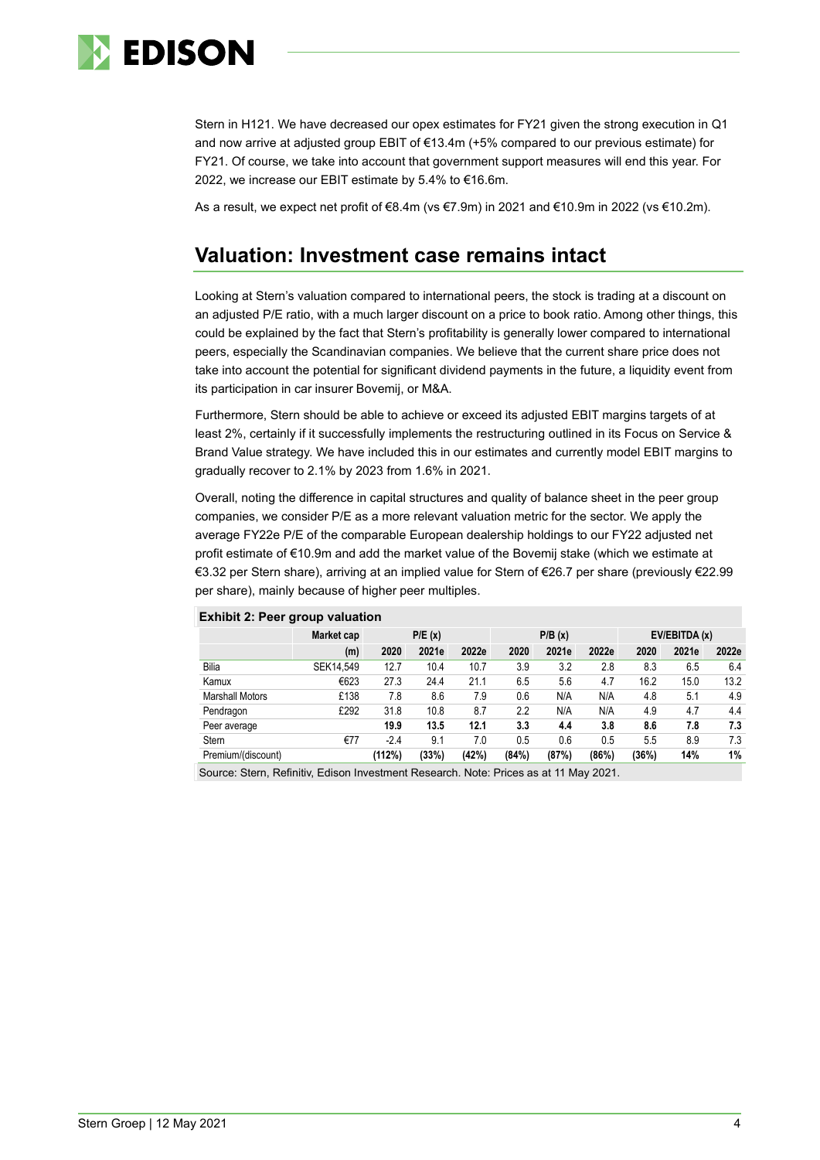

Stern in H121. We have decreased our opex estimates for FY21 given the strong execution in Q1 and now arrive at adjusted group EBIT of €13.4m (+5% compared to our previous estimate) for FY21. Of course, we take into account that government support measures will end this year. For 2022, we increase our EBIT estimate by 5.4% to €16.6m.

As a result, we expect net profit of €8.4m (vs €7.9m) in 2021 and €10.9m in 2022 (vs €10.2m).

# **Valuation: Investment case remains intact**

Looking at Stern's valuation compared to international peers, the stock is trading at a discount on an adjusted P/E ratio, with a much larger discount on a price to book ratio. Among other things, this could be explained by the fact that Stern's profitability is generally lower compared to international peers, especially the Scandinavian companies. We believe that the current share price does not take into account the potential for significant dividend payments in the future, a liquidity event from its participation in car insurer Bovemij, or M&A.

Furthermore, Stern should be able to achieve or exceed its adjusted EBIT margins targets of at least 2%, certainly if it successfully implements the restructuring outlined in its Focus on Service & Brand Value strategy. We have included this in our estimates and currently model EBIT margins to gradually recover to 2.1% by 2023 from 1.6% in 2021.

Overall, noting the difference in capital structures and quality of balance sheet in the peer group companies, we consider P/E as a more relevant valuation metric for the sector. We apply the average FY22e P/E of the comparable European dealership holdings to our FY22 adjusted net profit estimate of €10.9m and add the market value of the Bovemij stake (which we estimate at €3.32 per Stern share), arriving at an implied value for Stern of €26.7 per share (previously €22.99 per share), mainly because of higher peer multiples.

|                        | Market cap | P/E(x) |       |       | P/B(x) |       |       | EV/EBITDA (x) |       |       |
|------------------------|------------|--------|-------|-------|--------|-------|-------|---------------|-------|-------|
|                        | (m)        | 2020   | 2021e | 2022e | 2020   | 2021e | 2022e | 2020          | 2021e | 2022e |
| Bilia                  | SEK14.549  | 12.7   | 10.4  | 10.7  | 3.9    | 3.2   | 2.8   | 8.3           | 6.5   | 6.4   |
| Kamux                  | €623       | 27.3   | 24.4  | 21.1  | 6.5    | 5.6   | 4.7   | 16.2          | 15.0  | 13.2  |
| <b>Marshall Motors</b> | £138       | 7.8    | 8.6   | 7.9   | 0.6    | N/A   | N/A   | 4.8           | 5.1   | 4.9   |
| Pendragon              | £292       | 31.8   | 10.8  | 8.7   | 2.2    | N/A   | N/A   | 4.9           | 4.7   | 4.4   |
| Peer average           |            | 19.9   | 13.5  | 12.1  | 3.3    | 4.4   | 3.8   | 8.6           | 7.8   | 7.3   |
| <b>Stern</b>           | €77        | $-2.4$ | 9.1   | 7.0   | 0.5    | 0.6   | 0.5   | 5.5           | 8.9   | 7.3   |
| Premium/(discount)     |            | (112%) | (33%) | (42%) | (84%)  | (87%) | (86%) | (36%)         | 14%   | 1%    |

### **Exhibit 2: Peer group valuation**

Source: Stern, Refinitiv, Edison Investment Research. Note: Prices as at 11 May 2021.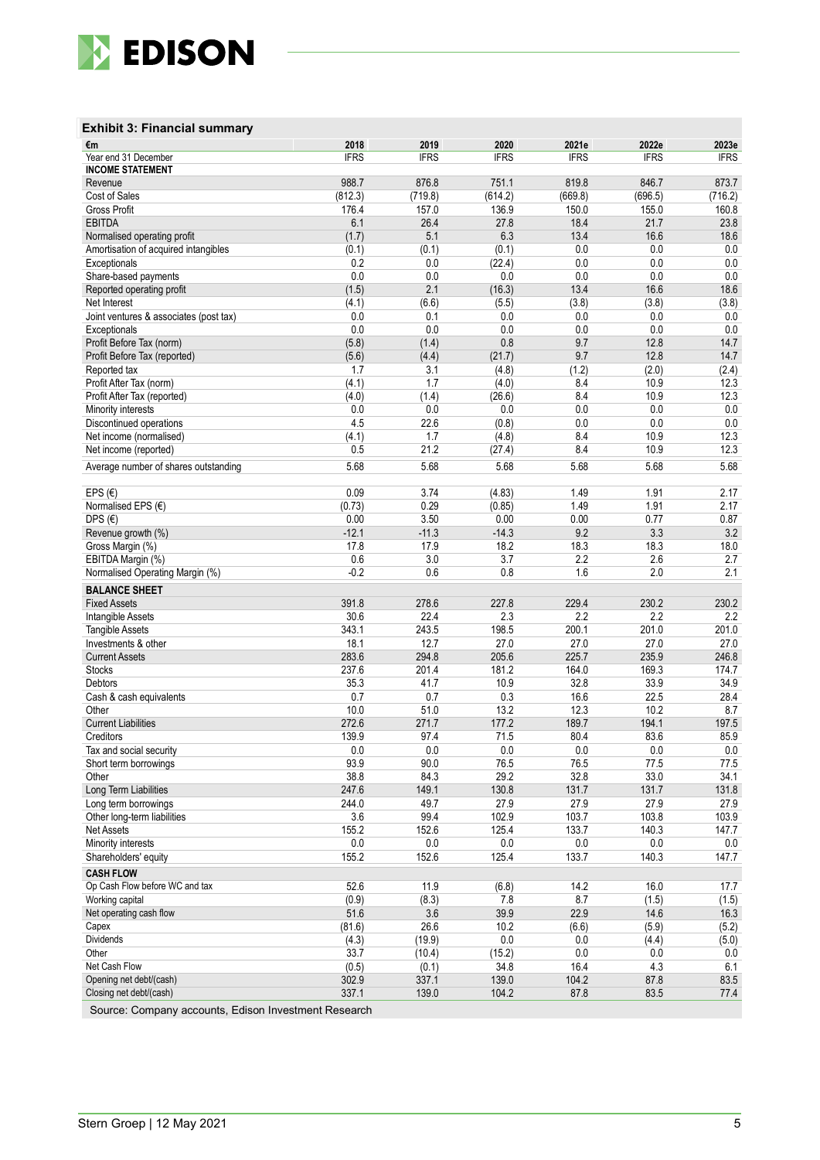

### **Exhibit 3: Financial summary**

| €m                                     | 2018        | 2019        | 2020        | 2021e       | 2022e       | 2023e            |
|----------------------------------------|-------------|-------------|-------------|-------------|-------------|------------------|
| Year end 31 December                   | <b>IFRS</b> | <b>IFRS</b> | <b>IFRS</b> | <b>IFRS</b> | <b>IFRS</b> | <b>IFRS</b>      |
| <b>INCOME STATEMENT</b>                | 988.7       | 876.8       | 751.1       | 819.8       | 846.7       |                  |
| Revenue<br>Cost of Sales               | (812.3)     | (719.8)     | (614.2)     | (669.8)     | (696.5)     | 873.7<br>(716.2) |
| <b>Gross Profit</b>                    | 176.4       | 157.0       | 136.9       | 150.0       | 155.0       | 160.8            |
| <b>EBITDA</b>                          | 6.1         | 26.4        | 27.8        | 18.4        | 21.7        | 23.8             |
| Normalised operating profit            | (1.7)       | 5.1         | 6.3         | 13.4        | 16.6        | 18.6             |
| Amortisation of acquired intangibles   | (0.1)       | (0.1)       | (0.1)       | 0.0         | 0.0         | 0.0              |
| Exceptionals                           | 0.2         | 0.0         | (22.4)      | 0.0         | 0.0         | 0.0              |
| Share-based payments                   | 0.0         | 0.0         | 0.0         | 0.0         | 0.0         | 0.0              |
| Reported operating profit              | (1.5)       | 2.1         | (16.3)      | 13.4        | 16.6        | 18.6             |
| Net Interest                           | (4.1)       | (6.6)       | (5.5)       | (3.8)       | (3.8)       | (3.8)            |
| Joint ventures & associates (post tax) | 0.0         | 0.1         | 0.0         | 0.0         | 0.0         | 0.0              |
| Exceptionals                           | 0.0         | 0.0         | 0.0         | 0.0         | 0.0         | 0.0              |
| Profit Before Tax (norm)               | (5.8)       | (1.4)       | 0.8         | 9.7         | 12.8        | 14.7             |
| Profit Before Tax (reported)           | (5.6)       | (4.4)       | (21.7)      | 9.7         | 12.8        | 14.7             |
| Reported tax                           | 1.7         | 3.1         | (4.8)       | (1.2)       | (2.0)       | (2.4)            |
| Profit After Tax (norm)                | (4.1)       | 1.7         | (4.0)       | 8.4         | 10.9        | 12.3             |
| Profit After Tax (reported)            | (4.0)       | (1.4)       | (26.6)      | 8.4         | 10.9        | 12.3             |
| Minority interests                     | 0.0         | 0.0         | 0.0         | 0.0         | 0.0         | 0.0              |
| Discontinued operations                | 4.5         | 22.6        | (0.8)       | 0.0         | 0.0         | 0.0              |
| Net income (normalised)                | (4.1)       | 1.7         | (4.8)       | 8.4         | 10.9        | 12.3             |
| Net income (reported)                  | 0.5         | 21.2        | (27.4)      | 8.4         | 10.9        | 12.3             |
| Average number of shares outstanding   | 5.68        | 5.68        | 5.68        | 5.68        | 5.68        | 5.68             |
|                                        |             |             |             |             |             |                  |
| EPS $(E)$                              | 0.09        | 3.74        | (4.83)      | 1.49        | 1.91        | 2.17             |
| Normalised EPS (€)                     | (0.73)      | 0.29        | (0.85)      | 1.49        | 1.91        | 2.17             |
| DPS $(E)$                              | 0.00        | 3.50        | 0.00        | 0.00        | 0.77        | 0.87             |
| Revenue growth (%)                     | $-12.1$     | $-11.3$     | $-14.3$     | 9.2         | 3.3         | 3.2              |
| Gross Margin (%)                       | 17.8        | 17.9        | 18.2        | 18.3        | 18.3        | 18.0             |
| EBITDA Margin (%)                      | 0.6         | 3.0         | 3.7         | 2.2         | 2.6         | 2.7              |
| Normalised Operating Margin (%)        | $-0.2$      | 0.6         | 0.8         | 1.6         | 2.0         | 2.1              |
| <b>BALANCE SHEET</b>                   |             |             |             |             |             |                  |
| <b>Fixed Assets</b>                    | 391.8       | 278.6       | 227.8       | 229.4       | 230.2       | 230.2            |
| Intangible Assets                      | 30.6        | 22.4        | 2.3         | 2.2         | 2.2         | 2.2              |
| <b>Tangible Assets</b>                 | 343.1       | 243.5       | 198.5       | 200.1       | 201.0       | 201.0            |
| Investments & other                    | 18.1        | 12.7        | 27.0        | 27.0        | 27.0        | 27.0             |
| <b>Current Assets</b>                  | 283.6       | 294.8       | 205.6       | 225.7       | 235.9       | 246.8            |
| <b>Stocks</b>                          | 237.6       | 201.4       | 181.2       | 164.0       | 169.3       | 174.7            |
| Debtors                                | 35.3        | 41.7        | 10.9        | 32.8        | 33.9        | 34.9             |
| Cash & cash equivalents                | 0.7         | 0.7         | 0.3         | 16.6        | 22.5        | 28.4             |
| Other                                  | 10.0        | 51.0        | 13.2        | 12.3        | 10.2        | 8.7              |
| <b>Current Liabilities</b>             | 272.6       | 271.7       | 177.2       | 189.7       | 194.1       | 197.5            |
| Creditors                              | 139.9       | 97.4        | 71.5        | 80.4        | 83.6        | 85.9             |
| Tax and social security                | 0.0         | 0.0         | 0.0         | 0.0         | 0.0         | $0.0\,$          |
| Short term borrowings                  | 93.9        | 90.0        | 76.5        | 76.5        | 77.5        | 77.5             |
| Other                                  | 38.8        | 84.3        | 29.2        | 32.8        | 33.0        | 34.1             |
| Long Term Liabilities                  | 247.6       | 149.1       | 130.8       | 131.7       | 131.7       | 131.8            |
| Long term borrowings                   | 244.0       | 49.7        | 27.9        | 27.9        | 27.9        | 27.9             |
| Other long-term liabilities            | 3.6         | 99.4        | 102.9       | 103.7       | 103.8       | 103.9            |
| <b>Net Assets</b>                      | 155.2       | 152.6       | 125.4       | 133.7       | 140.3       | 147.7            |
| Minority interests                     | $0.0\,$     | $0.0\,$     | $0.0\,$     | $0.0\,$     | $0.0\,$     | $0.0\,$          |
| Shareholders' equity                   | 155.2       | 152.6       | 125.4       | 133.7       | 140.3       | 147.7            |
| <b>CASH FLOW</b>                       |             |             |             |             |             |                  |
| Op Cash Flow before WC and tax         | 52.6        | 11.9        | (6.8)       | 14.2        | 16.0        | 17.7             |
| Working capital                        | (0.9)       | (8.3)       | 7.8         | 8.7         | (1.5)       | (1.5)            |
| Net operating cash flow                | 51.6        | 3.6         | 39.9        | 22.9        | 14.6        | 16.3             |
| Capex                                  | (81.6)      | 26.6        | 10.2        | (6.6)       | (5.9)       | (5.2)            |
| Dividends                              | (4.3)       | (19.9)      | 0.0         | 0.0         | (4.4)       | (5.0)            |
| Other                                  | 33.7        | (10.4)      | (15.2)      | 0.0         | 0.0         | 0.0              |
| Net Cash Flow                          | (0.5)       | (0.1)       | 34.8        | 16.4        | 4.3         | 6.1              |
| Opening net debt/(cash)                | 302.9       | 337.1       | 139.0       | 104.2       | 87.8        | 83.5             |
| Closing net debt/(cash)                | 337.1       | 139.0       | 104.2       | 87.8        | 83.5        | 77.4             |

Source: Company accounts, Edison Investment Research